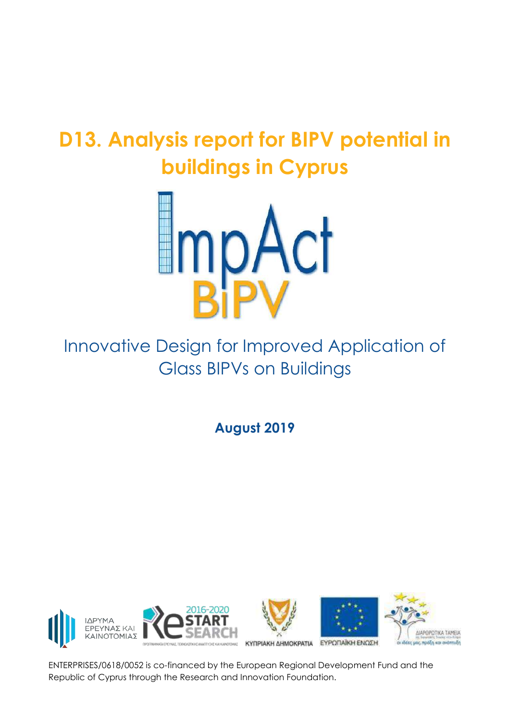# **D13. Analysis report for BIPV potential in buildings in Cyprus**



# Innovative Design for Improved Application of Glass BIPVs on Buildings

**August 2019**









ENTERPRISES/0618/0052 is co-financed by the European Regional Development Fund and the Republic of Cyprus through the Research and Innovation Foundation.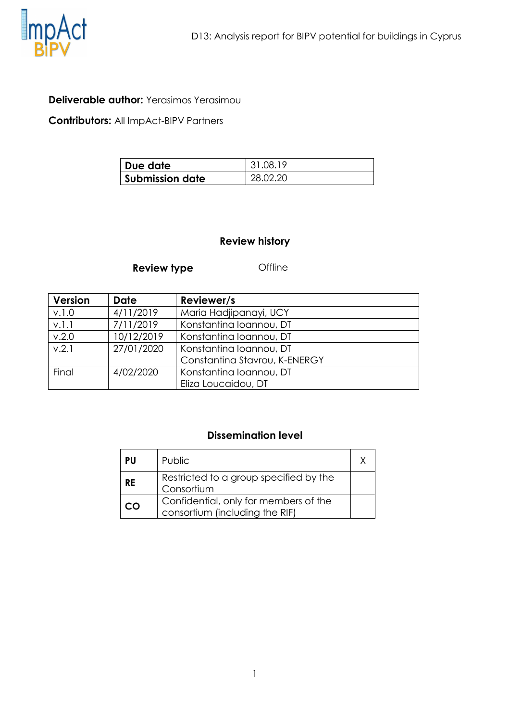

#### **Deliverable author:** Yerasimos Yerasimou

**Contributors:** All ImpAct-BIPV Partners

| Due date               | 31.08.19 |
|------------------------|----------|
| <b>Submission date</b> | 28.02.20 |

#### **Review history**

#### **Review type Offline**

| <b>Version</b> | <b>Date</b> | Reviewer/s                    |
|----------------|-------------|-------------------------------|
| v.1.0          | 4/11/2019   | Maria Hadjipanayi, UCY        |
| v.l.l          | 7/11/2019   | Konstantina Ioannou, DT       |
| v.2.0          | 10/12/2019  | Konstantina Ioannou, DT       |
| V.2.1          | 27/01/2020  | Konstantina Ioannou, DT       |
|                |             | Constantina Stavrou, K-ENERGY |
| Final          | 4/02/2020   | Konstantina Ioannou, DT       |
|                |             | Eliza Loucaidou, DT           |

#### **Dissemination level**

| PU        | Public.                                                                 |  |
|-----------|-------------------------------------------------------------------------|--|
| <b>RE</b> | Restricted to a group specified by the<br>Consortium                    |  |
| CO        | Confidential, only for members of the<br>consortium (including the RIF) |  |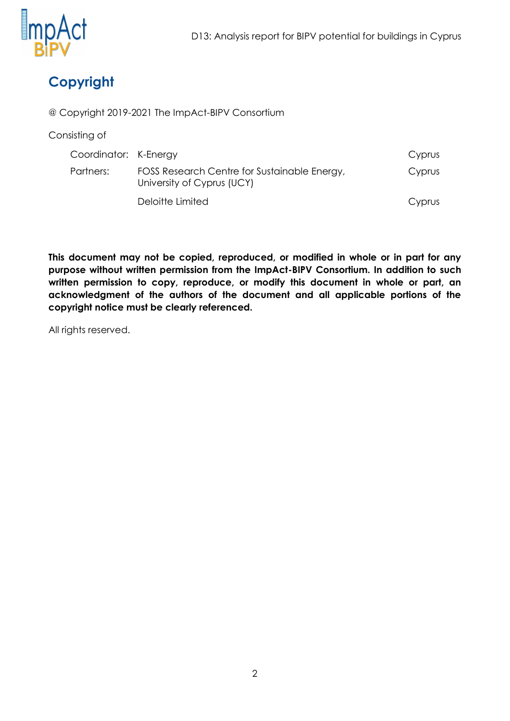

# **Copyright**

@ Copyright 2019-2021 The ImpAct-BIPV Consortium

Consisting of

| Coordinator: K-Energy |                                                                            | Cyprus |
|-----------------------|----------------------------------------------------------------------------|--------|
| Partners:             | FOSS Research Centre for Sustainable Energy,<br>University of Cyprus (UCY) | Cyprus |
|                       | Deloitte Limited                                                           | Cyprus |

**This document may not be copied, reproduced, or modified in whole or in part for any purpose without written permission from the ImpAct-BIPV Consortium. In addition to such written permission to copy, reproduce, or modify this document in whole or part, an acknowledgment of the authors of the document and all applicable portions of the copyright notice must be clearly referenced.**

All rights reserved.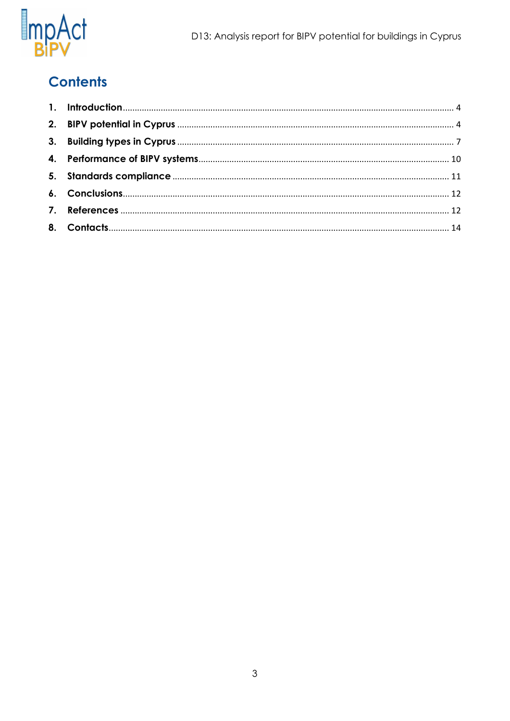

# **Contents**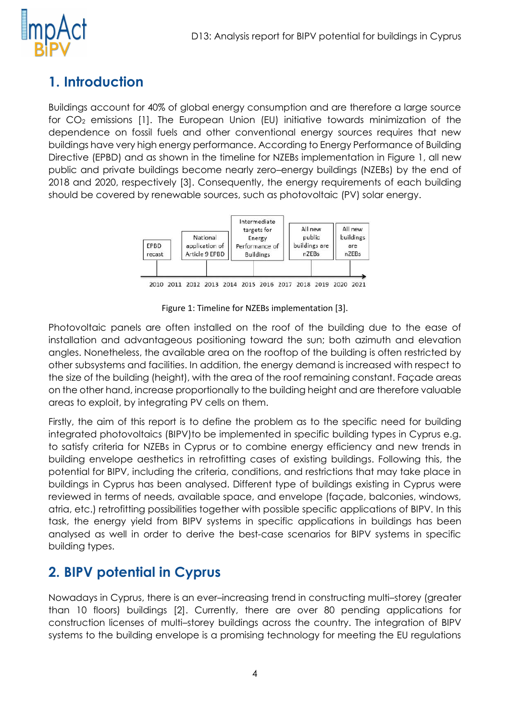

# <span id="page-4-0"></span>**1. Introduction**

Buildings account for 40% of global energy consumption and are therefore a large source for CO<sub>2</sub> emissions [1]. The European Union (EU) initiative towards minimization of the dependence on fossil fuels and other conventional energy sources requires that new buildings have very high energy performance. According to Energy Performance of Building Directive (EPBD) and as shown in the timeline for NZEBs implementation in Figure 1, all new public and private buildings become nearly zero–energy buildings (NZEBs) by the end of 2018 and 2020, respectively [3]. Consequently, the energy requirements of each building should be covered by renewable sources, such as photovoltaic (PV) solar energy.



2010 2011 2012 2013 2014 2015 2016 2017 2018 2019 2020 2021

Figure 1: Timeline for NZEBs implementation [3].

Photovoltaic panels are often installed on the roof of the building due to the ease of installation and advantageous positioning toward the sun; both azimuth and elevation angles. Nonetheless, the available area on the rooftop of the building is often restricted by other subsystems and facilities. In addition, the energy demand is increased with respect to the size of the building (height), with the area of the roof remaining constant. Façade areas on the other hand, increase proportionally to the building height and are therefore valuable areas to exploit, by integrating PV cells on them.

Firstly, the aim of this report is to define the problem as to the specific need for building integrated photovoltaics (BIPV)to be implemented in specific building types in Cyprus e.g. to satisfy criteria for NZEBs in Cyprus or to combine energy efficiency and new trends in building envelope aesthetics in retrofitting cases of existing buildings. Following this, the potential for BIPV, including the criteria, conditions, and restrictions that may take place in buildings in Cyprus has been analysed. Different type of buildings existing in Cyprus were reviewed in terms of needs, available space, and envelope (façade, balconies, windows, atria, etc.) retrofitting possibilities together with possible specific applications of BIPV. In this task, the energy yield from BIPV systems in specific applications in buildings has been analysed as well in order to derive the best-case scenarios for BIPV systems in specific building types.

### <span id="page-4-1"></span>**2. BIPV potential in Cyprus**

Nowadays in Cyprus, there is an ever–increasing trend in constructing multi–storey (greater than 10 floors) buildings [2]. Currently, there are over 80 pending applications for construction licenses of multi–storey buildings across the country. The integration of BIPV systems to the building envelope is a promising technology for meeting the EU regulations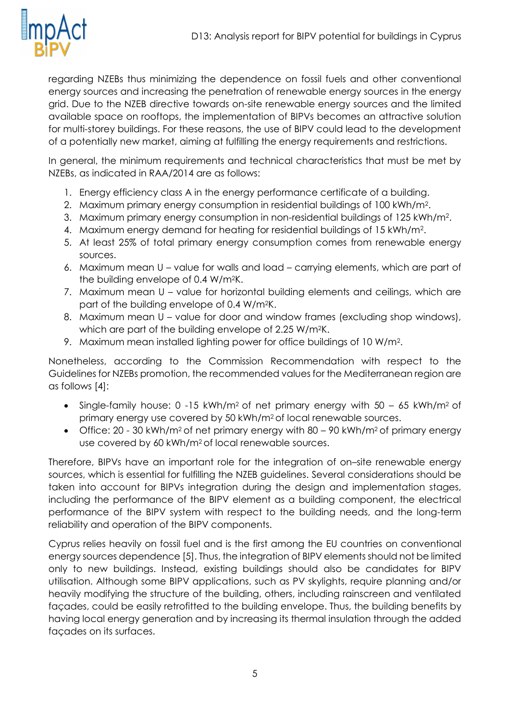![](_page_5_Picture_1.jpeg)

regarding NZEBs thus minimizing the dependence on fossil fuels and other conventional energy sources and increasing the penetration of renewable energy sources in the energy grid. Due to the NZEB directive towards on-site renewable energy sources and the limited available space on rooftops, the implementation of BIPVs becomes an attractive solution for multi-storey buildings. For these reasons, the use of BIPV could lead to the development of a potentially new market, aiming at fulfilling the energy requirements and restrictions.

In general, the minimum requirements and technical characteristics that must be met by NZEBs, as indicated in RAA/2014 are as follows:

- 1. Energy efficiency class A in the energy performance certificate of a building.
- 2. Maximum primary energy consumption in residential buildings of 100 kWh/m<sup>2</sup> .
- 3. Maximum primary energy consumption in non-residential buildings of 125 kWh/m<sup>2</sup> .
- 4. Maximum energy demand for heating for residential buildings of 15 kWh/m<sup>2</sup>.
- 5. At least 25% of total primary energy consumption comes from renewable energy sources.
- 6. Maximum mean U value for walls and load carrying elements, which are part of the building envelope of 0.4 W/m2K.
- 7. Maximum mean U value for horizontal building elements and ceilings, which are part of the building envelope of 0.4 W/m2K.
- 8. Maximum mean U value for door and window frames (excluding shop windows), which are part of the building envelope of 2.25 W/m<sup>2</sup>K.
- 9. Maximum mean installed lighting power for office buildings of 10 W/m<sup>2</sup> .

Nonetheless, according to the Commission Recommendation with respect to the Guidelines for NZEBs promotion, the recommended values for the Mediterranean region are as follows [4]:

- Single-family house:  $0 -15$  kWh/m<sup>2</sup> of net primary energy with  $50 65$  kWh/m<sup>2</sup> of primary energy use covered by 50 kWh/m<sup>2</sup> of local renewable sources.
- Office:  $20 30$  kWh/m<sup>2</sup> of net primary energy with  $80 90$  kWh/m<sup>2</sup> of primary energy use covered by 60 kWh/m2 of local renewable sources.

Therefore, BIPVs have an important role for the integration of on–site renewable energy sources, which is essential for fulfilling the NZEB guidelines. Several considerations should be taken into account for BIPVs integration during the design and implementation stages, including the performance of the BIPV element as a building component, the electrical performance of the BIPV system with respect to the building needs, and the long-term reliability and operation of the BIPV components.

Cyprus relies heavily on fossil fuel and is the first among the EU countries on conventional energy sources dependence [5]. Thus, the integration of BIPV elements should not be limited only to new buildings. Instead, existing buildings should also be candidates for BIPV utilisation. Although some BIPV applications, such as PV skylights, require planning and/or heavily modifying the structure of the building, others, including rainscreen and ventilated façades, could be easily retrofitted to the building envelope. Thus, the building benefits by having local energy generation and by increasing its thermal insulation through the added façades on its surfaces.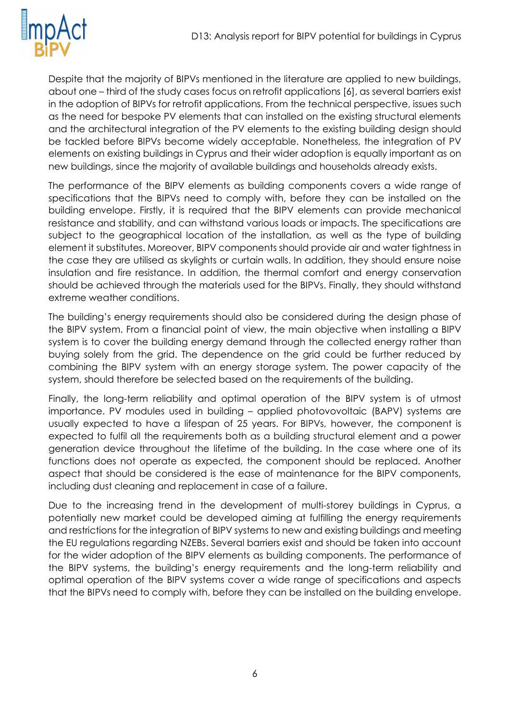![](_page_6_Picture_1.jpeg)

Despite that the majority of BIPVs mentioned in the literature are applied to new buildings, about one – third of the study cases focus on retrofit applications [6], as several barriers exist in the adoption of BIPVs for retrofit applications. From the technical perspective, issues such as the need for bespoke PV elements that can installed on the existing structural elements and the architectural integration of the PV elements to the existing building design should be tackled before BIPVs become widely acceptable. Nonetheless, the integration of PV elements on existing buildings in Cyprus and their wider adoption is equally important as on new buildings, since the majority of available buildings and households already exists.

The performance of the BIPV elements as building components covers a wide range of specifications that the BIPVs need to comply with, before they can be installed on the building envelope. Firstly, it is required that the BIPV elements can provide mechanical resistance and stability, and can withstand various loads or impacts. The specifications are subject to the geographical location of the installation, as well as the type of building element it substitutes. Moreover, BIPV components should provide air and water tightness in the case they are utilised as skylights or curtain walls. In addition, they should ensure noise insulation and fire resistance. In addition, the thermal comfort and energy conservation should be achieved through the materials used for the BIPVs. Finally, they should withstand extreme weather conditions.

The building's energy requirements should also be considered during the design phase of the BIPV system. From a financial point of view, the main objective when installing a BIPV system is to cover the building energy demand through the collected energy rather than buying solely from the grid. The dependence on the grid could be further reduced by combining the BIPV system with an energy storage system. The power capacity of the system, should therefore be selected based on the requirements of the building.

Finally, the long-term reliability and optimal operation of the BIPV system is of utmost importance. PV modules used in building – applied photovovoltaic (BAPV) systems are usually expected to have a lifespan of 25 years. For BIPVs, however, the component is expected to fulfil all the requirements both as a building structural element and a power generation device throughout the lifetime of the building. In the case where one of its functions does not operate as expected, the component should be replaced. Another aspect that should be considered is the ease of maintenance for the BIPV components, including dust cleaning and replacement in case of a failure.

Due to the increasing trend in the development of multi-storey buildings in Cyprus, a potentially new market could be developed aiming at fulfilling the energy requirements and restrictions for the integration of BIPV systems to new and existing buildings and meeting the EU regulations regarding NZEBs. Several barriers exist and should be taken into account for the wider adoption of the BIPV elements as building components. The performance of the BIPV systems, the building's energy requirements and the long-term reliability and optimal operation of the BIPV systems cover a wide range of specifications and aspects that the BIPVs need to comply with, before they can be installed on the building envelope.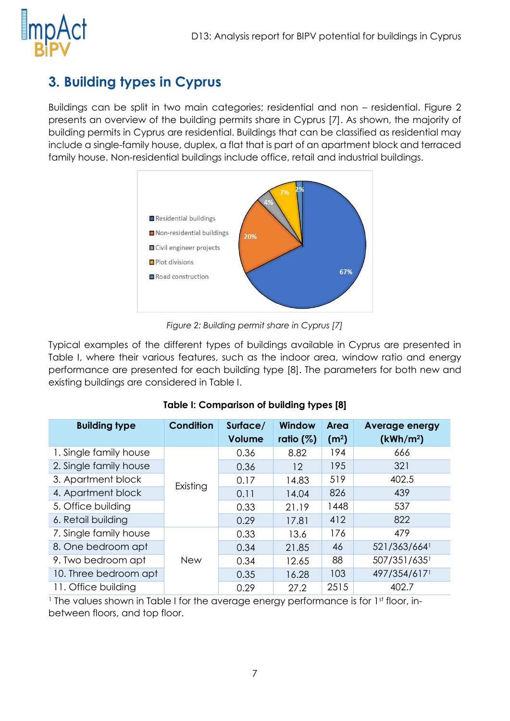![](_page_7_Picture_1.jpeg)

# <span id="page-7-0"></span>**3. Building types in Cyprus**

Buildings can be split in two main categories; residential and non – residential. [Figure 2](#page-7-1) presents an overview of the building permits share in Cyprus [7]. As shown, the majority of building permits in Cyprus are residential. Buildings that can be classified as residential may include a single-family house, duplex, a flat that is part of an apartment block and terraced family house. Non-residential buildings include office, retail and industrial buildings.

![](_page_7_Figure_4.jpeg)

*Figure 2: Building permit share in Cyprus [7]*

<span id="page-7-1"></span>Typical examples of the different types of buildings available in Cyprus are presented in Table I, where their various features, such as the indoor area, window ratio and energy performance are presented for each building type [8]. The parameters for both new and existing buildings are considered in Table I.

| <b>Building type</b>   | <b>Condition</b> | Surface/<br><b>Volume</b> | Window<br>ratio $(\%)$ | Area<br>(m <sup>2</sup> ) | <b>Average energy</b><br>(kWh/m <sup>2</sup> ) |
|------------------------|------------------|---------------------------|------------------------|---------------------------|------------------------------------------------|
| 1. Single family house |                  | 0.36                      | 8.82                   | 194                       | 666                                            |
| 2. Single family house |                  | 0.36                      | 12                     | 195                       | 321                                            |
| 3. Apartment block     |                  | 0.17                      | 14.83                  | 519                       | 402.5                                          |
| 4. Apartment block     | Existing         | 0.11                      | 14.04                  | 826                       | 439                                            |
| 5. Office building     |                  | 0.33                      | 21.19                  | 1448                      | 537                                            |
| 6. Retail building     |                  | 0.29                      | 17.81                  | 412                       | 822                                            |
| 7. Single family house |                  | 0.33                      | 13.6                   | 176                       | 479                                            |
| 8. One bedroom apt     |                  | 0.34                      | 21.85                  | 46                        | 521/363/664                                    |
| 9. Two bedroom apt     | <b>New</b>       | 0.34                      | 12.65                  | 88                        | 507/351/6351                                   |
| 10. Three bedroom apt  |                  | 0.35                      | 16.28                  | 103                       | 497/354/6171                                   |
| 11. Office building    |                  | 0.29                      | 27.2                   | 2515                      | 402.7                                          |

#### **Table I: Comparison of building types [8]**

<sup>1</sup> The values shown in Table I for the average energy performance is for 1st floor, inbetween floors, and top floor.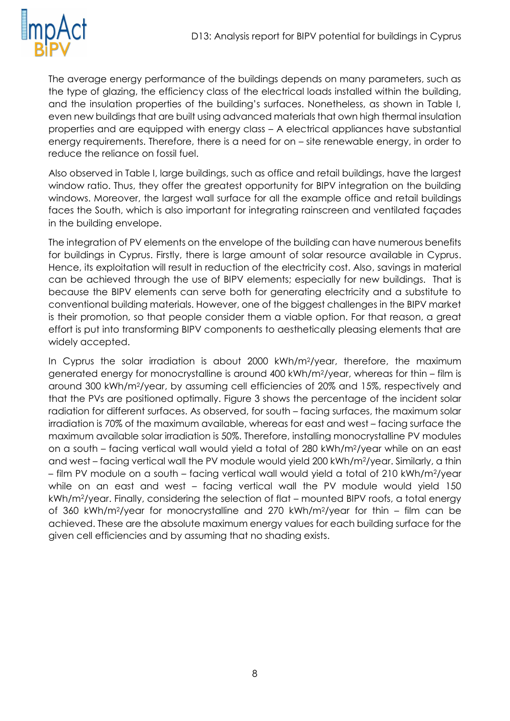![](_page_8_Picture_1.jpeg)

The average energy performance of the buildings depends on many parameters, such as the type of glazing, the efficiency class of the electrical loads installed within the building, and the insulation properties of the building's surfaces. Nonetheless, as shown in Table I, even new buildings that are built using advanced materials that own high thermal insulation properties and are equipped with energy class – A electrical appliances have substantial energy requirements. Therefore, there is a need for on – site renewable energy, in order to reduce the reliance on fossil fuel.

Also observed in Table I, large buildings, such as office and retail buildings, have the largest window ratio. Thus, they offer the greatest opportunity for BIPV integration on the building windows. Moreover, the largest wall surface for all the example office and retail buildings faces the South, which is also important for integrating rainscreen and ventilated façades in the building envelope.

The integration of PV elements on the envelope of the building can have numerous benefits for buildings in Cyprus. Firstly, there is large amount of solar resource available in Cyprus. Hence, its exploitation will result in reduction of the electricity cost. Also, savings in material can be achieved through the use of BIPV elements; especially for new buildings. That is because the BIPV elements can serve both for generating electricity and a substitute to conventional building materials. However, one of the biggest challenges in the BIPV market is their promotion, so that people consider them a viable option. For that reason, a great effort is put into transforming BIPV components to aesthetically pleasing elements that are widely accepted.

In Cyprus the solar irradiation is about 2000 kWh/m2/year, therefore, the maximum generated energy for monocrystalline is around 400 kWh/m2/year, whereas for thin – film is around 300 kWh/m2/year, by assuming cell efficiencies of 20% and 15%, respectively and that the PVs are positioned optimally. [Figure 3](#page-9-0) shows the percentage of the incident solar radiation for different surfaces. As observed, for south – facing surfaces, the maximum solar irradiation is 70% of the maximum available, whereas for east and west – facing surface the maximum available solar irradiation is 50%. Therefore, installing monocrystalline PV modules on a south – facing vertical wall would yield a total of 280 kWh/m2/year while on an east and west – facing vertical wall the PV module would yield 200 kWh/m2/year. Similarly, a thin – film PV module on a south – facing vertical wall would yield a total of 210 kWh/m2/year while on an east and west – facing vertical wall the PV module would yield 150 kWh/m2/year. Finally, considering the selection of flat – mounted BIPV roofs, a total energy of 360 kWh/m2/year for monocrystalline and 270 kWh/m2/year for thin – film can be achieved. These are the absolute maximum energy values for each building surface for the given cell efficiencies and by assuming that no shading exists.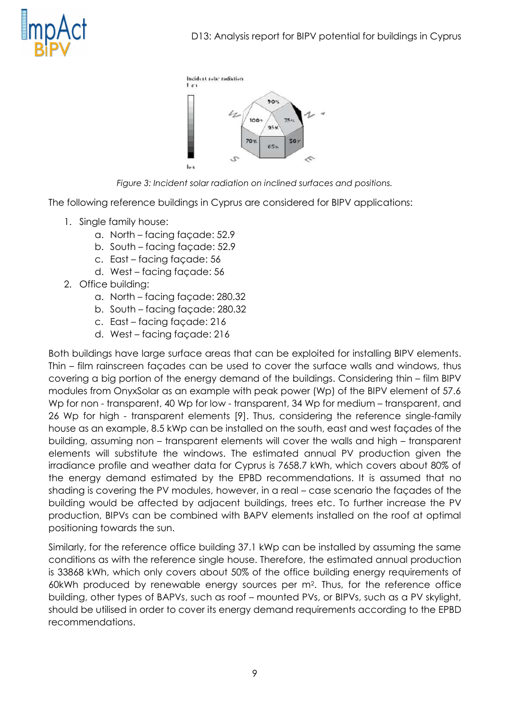![](_page_9_Picture_0.jpeg)

![](_page_9_Figure_2.jpeg)

*Figure 3: Incident solar radiation on inclined surfaces and positions.*

<span id="page-9-0"></span>The following reference buildings in Cyprus are considered for BIPV applications:

- 1. Single family house:
	- a. North facing façade: 52.9
	- b. South facing façade: 52.9
	- c. East facing façade: 56
	- d. West facing façade: 56
- 2. Office building:
	- a. North facing façade: 280.32
	- b. South facing façade: 280.32
	- c. East facing façade: 216
	- d. West facing façade: 216

Both buildings have large surface areas that can be exploited for installing BIPV elements. Thin – film rainscreen façades can be used to cover the surface walls and windows, thus covering a big portion of the energy demand of the buildings. Considering thin – film BIPV modules from OnyxSolar as an example with peak power (Wp) of the BIPV element of 57.6 Wp for non - transparent, 40 Wp for low - transparent, 34 Wp for medium – transparent, and 26 Wp for high - transparent elements [9]. Thus, considering the reference single-family house as an example, 8.5 kWp can be installed on the south, east and west façades of the building, assuming non – transparent elements will cover the walls and high – transparent elements will substitute the windows. The estimated annual PV production given the irradiance profile and weather data for Cyprus is 7658.7 kWh, which covers about 80% of the energy demand estimated by the EPBD recommendations. It is assumed that no shading is covering the PV modules, however, in a real – case scenario the façades of the building would be affected by adjacent buildings, trees etc. To further increase the PV production, BIPVs can be combined with BAPV elements installed on the roof at optimal positioning towards the sun.

Similarly, for the reference office building 37.1 kWp can be installed by assuming the same conditions as with the reference single house. Therefore, the estimated annual production is 33868 kWh, which only covers about 50% of the office building energy requirements of 60kWh produced by renewable energy sources per m<sup>2</sup> . Thus, for the reference office building, other types of BAPVs, such as roof – mounted PVs, or BIPVs, such as a PV skylight, should be utilised in order to cover its energy demand requirements according to the EPBD recommendations.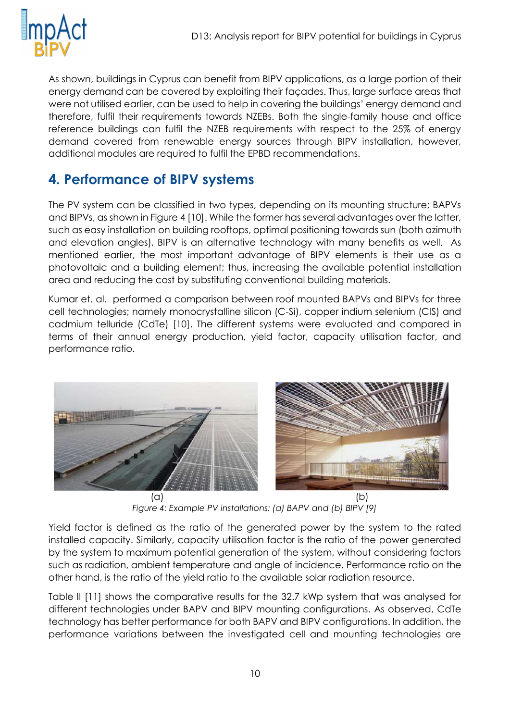![](_page_10_Picture_1.jpeg)

As shown, buildings in Cyprus can benefit from BIPV applications, as a large portion of their energy demand can be covered by exploiting their façades. Thus, large surface areas that were not utilised earlier, can be used to help in covering the buildings' energy demand and therefore, fulfil their requirements towards NZEBs. Both the single-family house and office reference buildings can fulfil the NZEB requirements with respect to the 25% of energy demand covered from renewable energy sources through BIPV installation, however, additional modules are required to fulfil the EPBD recommendations.

# <span id="page-10-0"></span>**4. Performance of BIPV systems**

The PV system can be classified in two types, depending on its mounting structure; BAPVs and BIPVs, as shown in [Figure 4](#page-10-1) [10]. While the former has several advantages over the latter, such as easy installation on building rooftops, optimal positioning towards sun (both azimuth and elevation angles), BIPV is an alternative technology with many benefits as well. As mentioned earlier, the most important advantage of BIPV elements is their use as a photovoltaic and a building element; thus, increasing the available potential installation area and reducing the cost by substituting conventional building materials.

Kumar et. al. performed a comparison between roof mounted BAPVs and BIPVs for three cell technologies; namely monocrystalline silicon (C-Si), copper indium selenium (CIS) and cadmium telluride (CdTe) [10]. The different systems were evaluated and compared in terms of their annual energy production, yield factor, capacity utilisation factor, and performance ratio.

![](_page_10_Picture_6.jpeg)

*Figure 4: Example PV installations: (a) BAPV and (b) BIPV [9]*

<span id="page-10-1"></span>Yield factor is defined as the ratio of the generated power by the system to the rated installed capacity. Similarly, capacity utilisation factor is the ratio of the power generated by the system to maximum potential generation of the system, without considering factors such as radiation, ambient temperature and angle of incidence. Performance ratio on the other hand, is the ratio of the yield ratio to the available solar radiation resource.

Table II [11] shows the comparative results for the 32.7 kWp system that was analysed for different technologies under BAPV and BIPV mounting configurations. As observed, CdTe technology has better performance for both BAPV and BIPV configurations. In addition, the performance variations between the investigated cell and mounting technologies are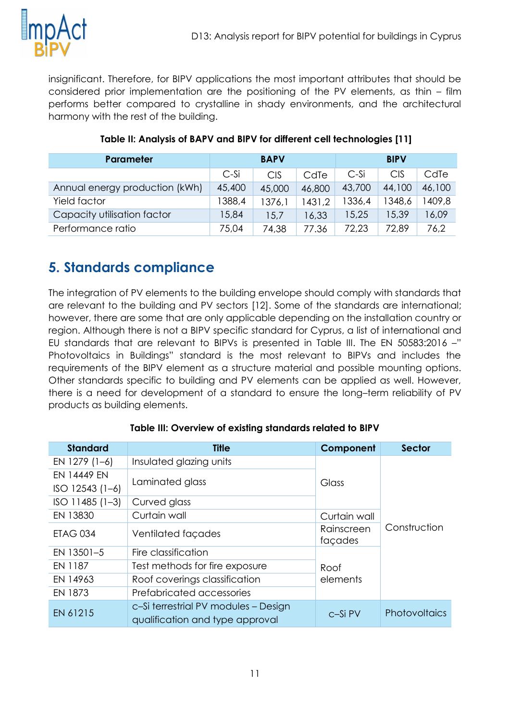![](_page_11_Picture_0.jpeg)

insignificant. Therefore, for BIPV applications the most important attributes that should be considered prior implementation are the positioning of the PV elements, as thin – film performs better compared to crystalline in shady environments, and the architectural harmony with the rest of the building.

| <b>Parameter</b>               | <b>BAPV</b> |            |        | <b>BIPV</b> |            |        |
|--------------------------------|-------------|------------|--------|-------------|------------|--------|
|                                | $C-Si$      | <b>CIS</b> | CdTe   | C-Si        | <b>CIS</b> | CdTe   |
| Annual energy production (kWh) | 45,400      | 45,000     | 46,800 | 43,700      | 44,100     | 46,100 |
| Yield factor                   | 1388,4      | 1376,1     | 1431,2 | 1336,4      | 1348,6     | 1409,8 |
| Capacity utilisation factor    | 15,84       | 15,7       | 16,33  | 15.25       | 15,39      | 16,09  |
| Performance ratio              | 75,04       | 74,38      | 77.36  | 72,23       | 72,89      | 76,2   |

#### **Table II: Analysis of BAPV and BIPV for different cell technologies [11]**

## <span id="page-11-0"></span>**5. Standards compliance**

The integration of PV elements to the building envelope should comply with standards that are relevant to the building and PV sectors [12]. Some of the standards are international; however, there are some that are only applicable depending on the installation country or region. Although there is not a BIPV specific standard for Cyprus, a list of international and EU standards that are relevant to BIPVs is presented in Table III. The EN 50583:2016 –" Photovoltaics in Buildings" standard is the most relevant to BIPVs and includes the requirements of the BIPV element as a structure material and possible mounting options. Other standards specific to building and PV elements can be applied as well. However, there is a need for development of a standard to ensure the long–term reliability of PV products as building elements.

| <b>Standard</b>    | <b>Title</b>                                                            | Component             | <b>Sector</b>        |  |
|--------------------|-------------------------------------------------------------------------|-----------------------|----------------------|--|
| EN 1279 (1-6)      | Insulated glazing units                                                 |                       |                      |  |
| <b>EN 14449 EN</b> |                                                                         |                       |                      |  |
| $ISO$ 12543 (1-6)  | Laminated glass                                                         | Glass                 |                      |  |
| $ISO$ 11485 (1-3)  | Curved glass                                                            |                       |                      |  |
| EN 13830           | Curtain wall                                                            | Curtain wall          |                      |  |
| <b>ETAG 034</b>    | Ventilated facades                                                      | Rainscreen<br>façades | Construction         |  |
| EN 13501-5         | Fire classification                                                     |                       |                      |  |
| EN 1187            | Test methods for fire exposure                                          | Roof                  |                      |  |
| EN 14963           | Roof coverings classification                                           | elements              |                      |  |
| EN 1873            | Prefabricated accessories                                               |                       |                      |  |
| EN 61215           | c-Si terrestrial PV modules - Design<br>qualification and type approval | c-Si PV               | <b>Photovoltaics</b> |  |

#### **Table III: Overview of existing standards related to BIPV**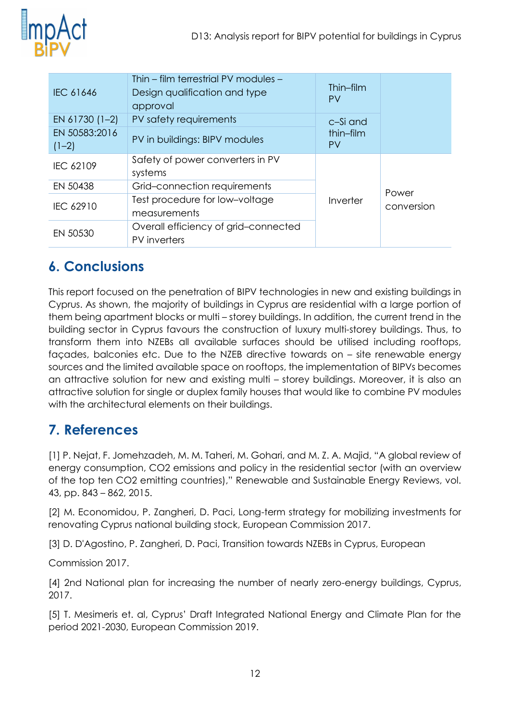![](_page_12_Picture_1.jpeg)

| IEC 61646                                                   | Thin – film terrestrial PV modules –<br>Design qualification and type<br>approval | Thin-film<br><b>PV</b> |            |  |
|-------------------------------------------------------------|-----------------------------------------------------------------------------------|------------------------|------------|--|
| EN 61730 (1-2)                                              | PV safety requirements                                                            | c-Si and               |            |  |
| EN 50583:2016<br>$(1-2)$                                    | PV in buildings: BIPV modules                                                     | thin-film<br><b>PV</b> |            |  |
| IEC 62109                                                   | Safety of power converters in PV<br>systems                                       |                        |            |  |
| EN 50438                                                    | Grid-connection requirements                                                      |                        | Power      |  |
| Test procedure for low-voltage<br>IEC 62910<br>measurements |                                                                                   | Inverter               | conversion |  |
| EN 50530                                                    | Overall efficiency of grid-connected<br>PV inverters                              |                        |            |  |

# <span id="page-12-0"></span>**6. Conclusions**

This report focused on the penetration of BIPV technologies in new and existing buildings in Cyprus. As shown, the majority of buildings in Cyprus are residential with a large portion of them being apartment blocks or multi – storey buildings. In addition, the current trend in the building sector in Cyprus favours the construction of luxury multi-storey buildings. Thus, to transform them into NZEBs all available surfaces should be utilised including rooftops, façades, balconies etc. Due to the NZEB directive towards on – site renewable energy sources and the limited available space on rooftops, the implementation of BIPVs becomes an attractive solution for new and existing multi – storey buildings. Moreover, it is also an attractive solution for single or duplex family houses that would like to combine PV modules with the architectural elements on their buildings.

### <span id="page-12-1"></span>**7. References**

[1] P. Nejat, F. Jomehzadeh, M. M. Taheri, M. Gohari, and M. Z. A. Majid, "A global review of energy consumption, CO2 emissions and policy in the residential sector (with an overview of the top ten CO2 emitting countries)," Renewable and Sustainable Energy Reviews, vol. 43, pp. 843 – 862, 2015.

[2] M. Economidou, P. Zangheri, D. Paci, Long-term strategy for mobilizing investments for renovating Cyprus national building stock, European Commission 2017.

[3] D. D'Agostino, P. Zangheri, D. Paci, Transition towards NZEBs in Cyprus, European

Commission 2017.

[4] 2nd National plan for increasing the number of nearly zero-energy buildings, Cyprus, 2017.

[5] T. Mesimeris et. al, Cyprus' Draft Integrated National Energy and Climate Plan for the period 2021-2030, European Commission 2019.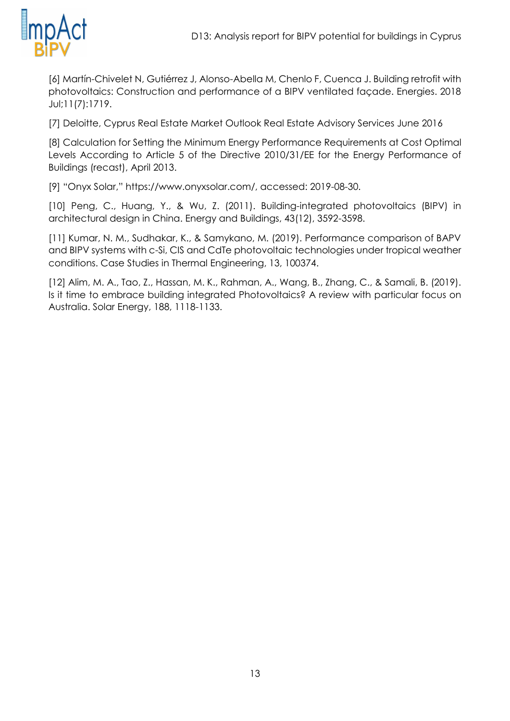![](_page_13_Picture_1.jpeg)

[6] Martín-Chivelet N, Gutiérrez J, Alonso-Abella M, Chenlo F, Cuenca J. Building retrofit with photovoltaics: Construction and performance of a BIPV ventilated façade. Energies. 2018 Jul;11(7):1719.

[7] Deloitte, Cyprus Real Estate Market Outlook Real Estate Advisory Services June 2016

[8] Calculation for Setting the Minimum Energy Performance Requirements at Cost Optimal Levels According to Article 5 of the Directive 2010/31/EE for the Energy Performance of Buildings (recast), April 2013.

[9] "Onyx Solar," https://www.onyxsolar.com/, accessed: 2019-08-30.

[10] Peng, C., Huang, Y., & Wu, Z. (2011). Building-integrated photovoltaics (BIPV) in architectural design in China. Energy and Buildings, 43(12), 3592-3598.

[11] Kumar, N. M., Sudhakar, K., & Samykano, M. (2019). Performance comparison of BAPV and BIPV systems with c-Si, CIS and CdTe photovoltaic technologies under tropical weather conditions. Case Studies in Thermal Engineering, 13, 100374.

[12] Alim, M. A., Tao, Z., Hassan, M. K., Rahman, A., Wang, B., Zhang, C., & Samali, B. (2019). Is it time to embrace building integrated Photovoltaics? A review with particular focus on Australia. Solar Energy, 188, 1118-1133.